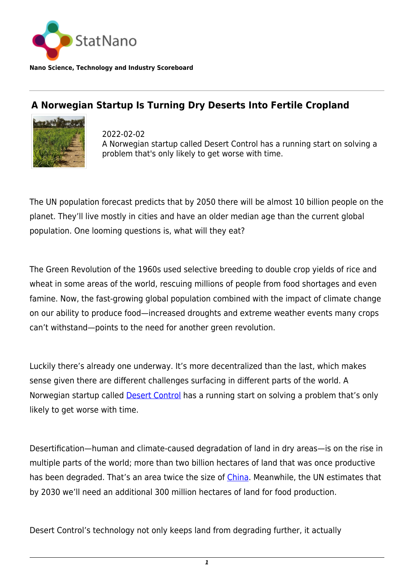

**Nano Science, Technology and Industry Scoreboard**

## **A Norwegian Startup Is Turning Dry Deserts Into Fertile Cropland**



2022-02-02 A Norwegian startup called Desert Control has a running start on solving a problem that's only likely to get worse with time.

The UN population forecast predicts that by 2050 there will be almost 10 billion people on the planet. They'll live mostly in cities and have an older median age than the current global population. One looming questions is, what will they eat?

The Green Revolution of the 1960s used selective breeding to double crop yields of rice and wheat in some areas of the world, rescuing millions of people from food shortages and even famine. Now, the fast-growing global population combined with the impact of climate change on our ability to produce food—increased droughts and extreme weather events many crops can't withstand—points to the need for another green revolution.

Luckily there's already one underway. It's more decentralized than the last, which makes sense given there are different challenges surfacing in different parts of the world. A Norwegian startup called [Desert Control](https://www.desertcontrol.com) has a running start on solving a problem that's only likely to get worse with time.

Desertification—human and climate-caused degradation of land in dry areas—is on the rise in multiple parts of the world; more than two billion hectares of land that was once productive has been degraded. That's an area twice the size of [China.](http://statnano.com/country/China) Meanwhile, the UN estimates that by 2030 we'll need an additional 300 million hectares of land for food production.

Desert Control's technology not only keeps land from degrading further, it actually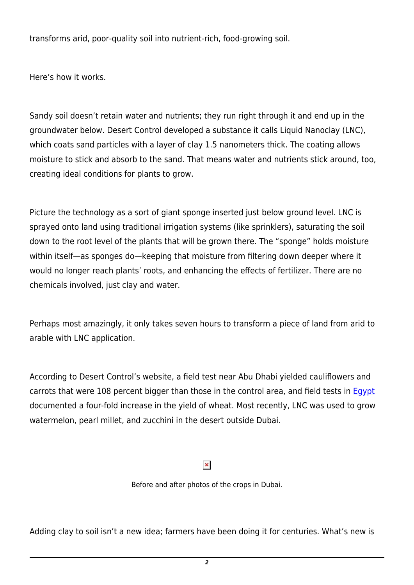transforms arid, poor-quality soil into nutrient-rich, food-growing soil.

Here's how it works.

Sandy soil doesn't retain water and nutrients; they run right through it and end up in the groundwater below. Desert Control developed a substance it calls Liquid Nanoclay (LNC), which coats sand particles with a layer of clay 1.5 nanometers thick. The coating allows moisture to stick and absorb to the sand. That means water and nutrients stick around, too, creating ideal conditions for plants to grow.

Picture the technology as a sort of giant sponge inserted just below ground level. LNC is sprayed onto land using traditional irrigation systems (like sprinklers), saturating the soil down to the root level of the plants that will be grown there. The "sponge" holds moisture within itself—as sponges do—keeping that moisture from filtering down deeper where it would no longer reach plants' roots, and enhancing the effects of fertilizer. There are no chemicals involved, just clay and water.

Perhaps most amazingly, it only takes seven hours to transform a piece of land from arid to arable with LNC application.

According to Desert Control's website, a field test near Abu Dhabi yielded cauliflowers and carrots that were 108 percent bigger than those in the control area, and field tests in [Egypt](http://statnano.com/country/Egypt) documented a four-fold increase in the yield of wheat. Most recently, LNC was used to grow watermelon, pearl millet, and zucchini in the desert outside Dubai.

## $\pmb{\times}$

Before and after photos of the crops in Dubai.

Adding clay to soil isn't a new idea; farmers have been doing it for centuries. What's new is